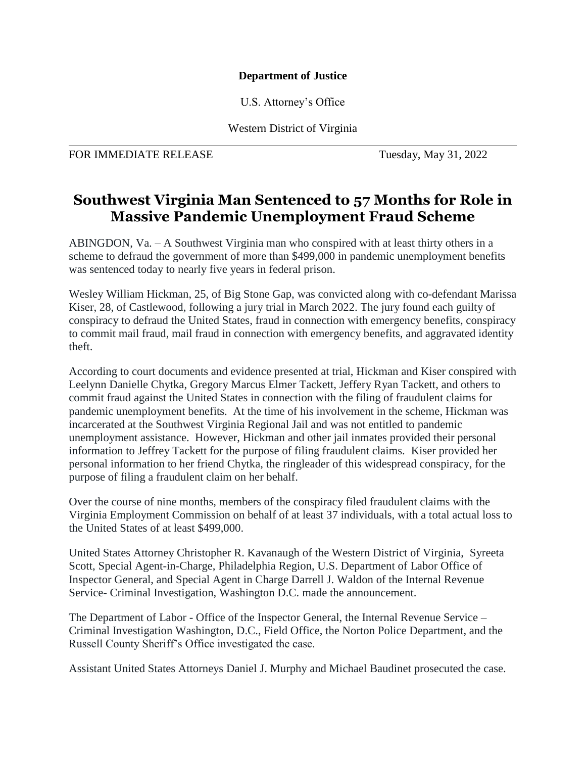## **Department of Justice**

U.S. Attorney's Office

Western District of Virginia

FOR IMMEDIATE RELEASE Tuesday, May 31, 2022

## **Southwest Virginia Man Sentenced to 57 Months for Role in Massive Pandemic Unemployment Fraud Scheme**

ABINGDON, Va. – A Southwest Virginia man who conspired with at least thirty others in a scheme to defraud the government of more than \$499,000 in pandemic unemployment benefits was sentenced today to nearly five years in federal prison.

Wesley William Hickman, 25, of Big Stone Gap, was convicted along with co-defendant Marissa Kiser, 28, of Castlewood, following a jury trial in March 2022. The jury found each guilty of conspiracy to defraud the United States, fraud in connection with emergency benefits, conspiracy to commit mail fraud, mail fraud in connection with emergency benefits, and aggravated identity theft.

According to court documents and evidence presented at trial, Hickman and Kiser conspired with Leelynn Danielle Chytka, Gregory Marcus Elmer Tackett, Jeffery Ryan Tackett, and others to commit fraud against the United States in connection with the filing of fraudulent claims for pandemic unemployment benefits. At the time of his involvement in the scheme, Hickman was incarcerated at the Southwest Virginia Regional Jail and was not entitled to pandemic unemployment assistance. However, Hickman and other jail inmates provided their personal information to Jeffrey Tackett for the purpose of filing fraudulent claims. Kiser provided her personal information to her friend Chytka, the ringleader of this widespread conspiracy, for the purpose of filing a fraudulent claim on her behalf.

Over the course of nine months, members of the conspiracy filed fraudulent claims with the Virginia Employment Commission on behalf of at least 37 individuals, with a total actual loss to the United States of at least \$499,000.

United States Attorney Christopher R. Kavanaugh of the Western District of Virginia, Syreeta Scott, Special Agent-in-Charge, Philadelphia Region, U.S. Department of Labor Office of Inspector General, and Special Agent in Charge Darrell J. Waldon of the Internal Revenue Service- Criminal Investigation, Washington D.C. made the announcement.

The Department of Labor - Office of the Inspector General, the Internal Revenue Service – Criminal Investigation Washington, D.C., Field Office, the Norton Police Department, and the Russell County Sheriff's Office investigated the case.

Assistant United States Attorneys Daniel J. Murphy and Michael Baudinet prosecuted the case.